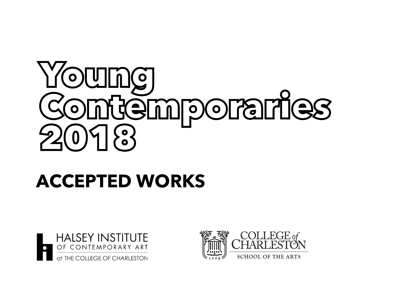## Young<br>Contemporaries  $\begin{bmatrix} 0 \\ 0 \end{bmatrix}$

## **ACCEPTED WORKS**



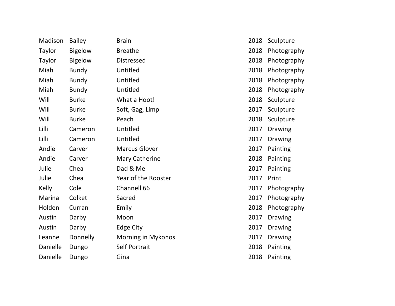| Madison  | <b>Bailey</b>  | <b>Brain</b>          | 2018 | Sculpture      |
|----------|----------------|-----------------------|------|----------------|
| Taylor   | <b>Bigelow</b> | <b>Breathe</b>        | 2018 | Photography    |
| Taylor   | <b>Bigelow</b> | <b>Distressed</b>     | 2018 | Photography    |
| Miah     | <b>Bundy</b>   | Untitled              | 2018 | Photography    |
| Miah     | <b>Bundy</b>   | Untitled              | 2018 | Photography    |
| Miah     | <b>Bundy</b>   | Untitled              | 2018 | Photography    |
| Will     | <b>Burke</b>   | What a Hoot!          | 2018 | Sculpture      |
| Will     | <b>Burke</b>   | Soft, Gag, Limp       | 2017 | Sculpture      |
| Will     | <b>Burke</b>   | Peach                 | 2018 | Sculpture      |
| Lilli    | Cameron        | Untitled              | 2017 | <b>Drawing</b> |
| Lilli    | Cameron        | Untitled              | 2017 | <b>Drawing</b> |
| Andie    | Carver         | <b>Marcus Glover</b>  | 2017 | Painting       |
| Andie    | Carver         | <b>Mary Catherine</b> | 2018 | Painting       |
| Julie    | Chea           | Dad & Me              | 2017 | Painting       |
| Julie    | Chea           | Year of the Rooster   | 2017 | Print          |
| Kelly    | Cole           | Channell 66           | 2017 | Photography    |
| Marina   | Colket         | Sacred                | 2017 | Photography    |
| Holden   | Curran         | Emily                 | 2018 | Photography    |
| Austin   | Darby          | Moon                  | 2017 | <b>Drawing</b> |
| Austin   | Darby          | Edge City             | 2017 | <b>Drawing</b> |
| Leanne   | Donnelly       | Morning in Mykonos    | 2017 | <b>Drawing</b> |
| Danielle | Dungo          | Self Portrait         | 2018 | Painting       |
| Danielle | Dungo          | Gina                  | 2018 | Painting       |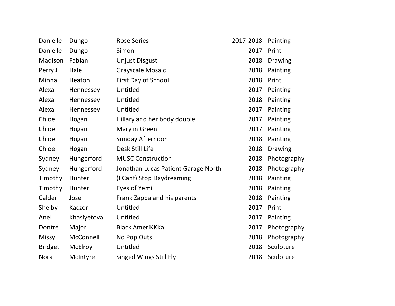| Danielle       | Dungo       | <b>Rose Series</b>                  | 2017-2018 | Painting       |
|----------------|-------------|-------------------------------------|-----------|----------------|
| Danielle       | Dungo       | Simon                               | 2017      | Print          |
| Madison        | Fabian      | <b>Unjust Disgust</b>               | 2018      | <b>Drawing</b> |
| Perry J        | Hale        | Grayscale Mosaic                    | 2018      | Painting       |
| Minna          | Heaton      | First Day of School                 | 2018      | Print          |
| Alexa          | Hennessey   | Untitled                            | 2017      | Painting       |
| Alexa          | Hennessey   | Untitled                            | 2018      | Painting       |
| Alexa          | Hennessey   | Untitled                            | 2017      | Painting       |
| Chloe          | Hogan       | Hillary and her body double         | 2017      | Painting       |
| Chloe          | Hogan       | Mary in Green                       | 2017      | Painting       |
| Chloe          | Hogan       | Sunday Afternoon                    | 2018      | Painting       |
| Chloe          | Hogan       | Desk Still Life                     | 2018      | <b>Drawing</b> |
| Sydney         | Hungerford  | <b>MUSC Construction</b>            | 2018      | Photography    |
| Sydney         | Hungerford  | Jonathan Lucas Patient Garage North | 2018      | Photography    |
| Timothy        | Hunter      | (I Cant) Stop Daydreaming           | 2018      | Painting       |
| Timothy        | Hunter      | Eyes of Yemi                        | 2018      | Painting       |
| Calder         | Jose        | Frank Zappa and his parents         | 2018      | Painting       |
| Shelby         | Kaczor      | Untitled                            | 2017      | Print          |
| Anel           | Khasiyetova | Untitled                            | 2017      | Painting       |
| Dontré         | Major       | <b>Black AmeriKKKa</b>              | 2017      | Photography    |
| <b>Missy</b>   | McConnell   | No Pop Outs                         | 2018      | Photography    |
| <b>Bridget</b> | McElroy     | Untitled                            | 2018      | Sculpture      |
| <b>Nora</b>    | McIntyre    | <b>Singed Wings Still Fly</b>       | 2018      | Sculpture      |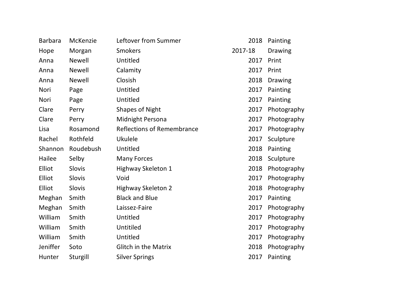| <b>Barbara</b> | McKenzie      | Leftover from Summer              | 2018    | Painting       |
|----------------|---------------|-----------------------------------|---------|----------------|
| Hope           | Morgan        | <b>Smokers</b>                    | 2017-18 | <b>Drawing</b> |
| Anna           | <b>Newell</b> | Untitled                          | 2017    | Print          |
| Anna           | <b>Newell</b> | Calamity                          | 2017    | Print          |
| Anna           | <b>Newell</b> | Closish                           | 2018    | <b>Drawing</b> |
| Nori           | Page          | Untitled                          | 2017    | Painting       |
| Nori           | Page          | Untitled                          | 2017    | Painting       |
| Clare          | Perry         | <b>Shapes of Night</b>            | 2017    | Photography    |
| Clare          | Perry         | Midnight Persona                  | 2017    | Photography    |
| Lisa           | Rosamond      | <b>Reflections of Remembrance</b> | 2017    | Photography    |
| Rachel         | Rothfeld      | <b>Ukulele</b>                    | 2017    | Sculpture      |
| Shannon        | Roudebush     | Untitled                          | 2018    | Painting       |
| Hailee         | Selby         | <b>Many Forces</b>                | 2018    | Sculpture      |
| Elliot         | Slovis        | Highway Skeleton 1                | 2018    | Photography    |
| Elliot         | Slovis        | Void                              | 2017    | Photography    |
| Elliot         | Slovis        | <b>Highway Skeleton 2</b>         | 2018    | Photography    |
| Meghan         | Smith         | <b>Black and Blue</b>             | 2017    | Painting       |
| Meghan         | Smith         | Laissez-Faire                     | 2017    | Photography    |
| William        | Smith         | Untitled                          | 2017    | Photography    |
| William        | Smith         | Untitiled                         | 2017    | Photography    |
| William        | Smith         | Untitled                          | 2017    | Photography    |
| Jeniffer       | Soto          | <b>Glitch in the Matrix</b>       | 2018    | Photography    |
| Hunter         | Sturgill      | <b>Silver Springs</b>             | 2017    | Painting       |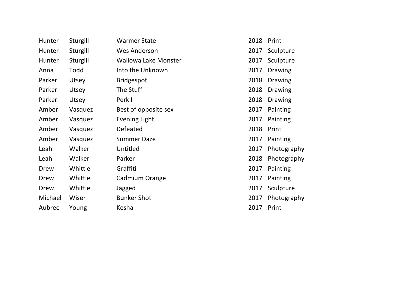| Hunter  | Sturgill | <b>Warmer State</b>         | 2018 | Print          |
|---------|----------|-----------------------------|------|----------------|
| Hunter  | Sturgill | <b>Wes Anderson</b>         | 2017 | Sculpture      |
| Hunter  | Sturgill | <b>Wallowa Lake Monster</b> | 2017 | Sculpture      |
| Anna    | Todd     | Into the Unknown            | 2017 | <b>Drawing</b> |
| Parker  | Utsey    | <b>Bridgespot</b>           | 2018 | <b>Drawing</b> |
| Parker  | Utsey    | The Stuff                   | 2018 | <b>Drawing</b> |
| Parker  | Utsey    | Perk I                      | 2018 | <b>Drawing</b> |
| Amber   | Vasquez  | Best of opposite sex        | 2017 | Painting       |
| Amber   | Vasquez  | Evening Light               | 2017 | Painting       |
| Amber   | Vasquez  | Defeated                    | 2018 | Print          |
| Amber   | Vasquez  | <b>Summer Daze</b>          | 2017 | Painting       |
| Leah    | Walker   | Untitled                    | 2017 | Photography    |
| Leah    | Walker   | Parker                      | 2018 | Photography    |
| Drew    | Whittle  | Graffiti                    | 2017 | Painting       |
| Drew    | Whittle  | Cadmium Orange              | 2017 | Painting       |
| Drew    | Whittle  | Jagged                      | 2017 | Sculpture      |
| Michael | Wiser    | <b>Bunker Shot</b>          | 2017 | Photography    |
| Aubree  | Young    | Kesha                       | 2017 | Print          |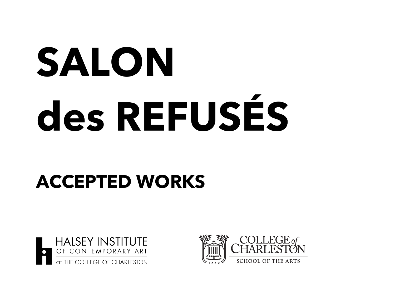## **SALON des REFUSÉS**

## **ACCEPTED WORKS**